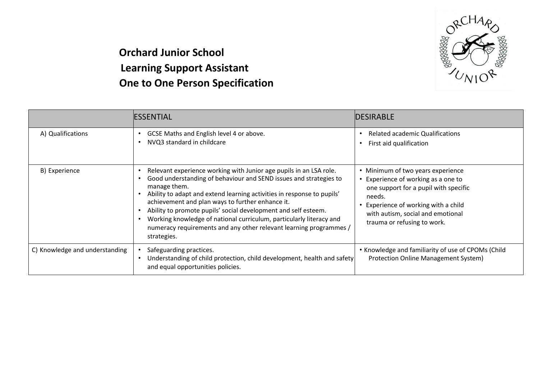

## **Orchard Junior School Learning Support Assistant One to One Person Specification**

|                                | IESSENTIAL                                                                                                                                                                                                                                                                                                                                                                                                                                                                                                          | <b>DESIRABLE</b>                                                                                                                                                                                                                        |
|--------------------------------|---------------------------------------------------------------------------------------------------------------------------------------------------------------------------------------------------------------------------------------------------------------------------------------------------------------------------------------------------------------------------------------------------------------------------------------------------------------------------------------------------------------------|-----------------------------------------------------------------------------------------------------------------------------------------------------------------------------------------------------------------------------------------|
| A) Qualifications              | GCSE Maths and English level 4 or above.<br>NVQ3 standard in childcare                                                                                                                                                                                                                                                                                                                                                                                                                                              | <b>Related academic Qualifications</b><br>First aid qualification                                                                                                                                                                       |
| B) Experience                  | Relevant experience working with Junior age pupils in an LSA role.<br>Good understanding of behaviour and SEND issues and strategies to<br>manage them.<br>Ability to adapt and extend learning activities in response to pupils'<br>achievement and plan ways to further enhance it.<br>Ability to promote pupils' social development and self esteem.<br>Working knowledge of national curriculum, particularly literacy and<br>numeracy requirements and any other relevant learning programmes /<br>strategies. | • Minimum of two years experience<br>• Experience of working as a one to<br>one support for a pupil with specific<br>needs.<br>• Experience of working with a child<br>with autism, social and emotional<br>trauma or refusing to work. |
| C) Knowledge and understanding | Safeguarding practices.<br>Understanding of child protection, child development, health and safety<br>and equal opportunities policies.                                                                                                                                                                                                                                                                                                                                                                             | • Knowledge and familiarity of use of CPOMs (Child<br>Protection Online Management System)                                                                                                                                              |